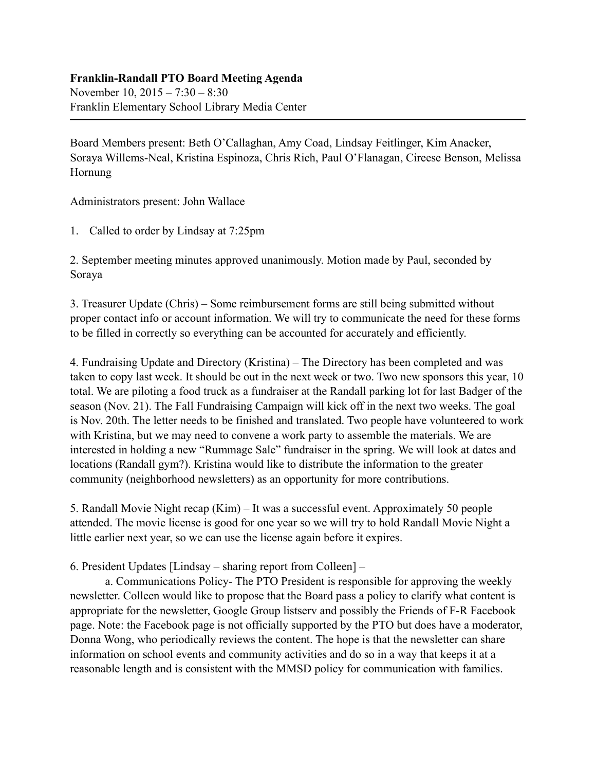## **Franklin-Randall PTO Board Meeting Agenda**

November 10, 2015 – 7:30 – 8:30 Franklin Elementary School Library Media Center

Board Members present: Beth O'Callaghan, Amy Coad, Lindsay Feitlinger, Kim Anacker, Soraya Willems-Neal, Kristina Espinoza, Chris Rich, Paul O'Flanagan, Cireese Benson, Melissa Hornung

Administrators present: John Wallace

1. Called to order by Lindsay at 7:25pm

2. September meeting minutes approved unanimously. Motion made by Paul, seconded by Soraya

3. Treasurer Update (Chris) – Some reimbursement forms are still being submitted without proper contact info or account information. We will try to communicate the need for these forms to be filled in correctly so everything can be accounted for accurately and efficiently.

4. Fundraising Update and Directory (Kristina) – The Directory has been completed and was taken to copy last week. It should be out in the next week or two. Two new sponsors this year, 10 total. We are piloting a food truck as a fundraiser at the Randall parking lot for last Badger of the season (Nov. 21). The Fall Fundraising Campaign will kick off in the next two weeks. The goal is Nov. 20th. The letter needs to be finished and translated. Two people have volunteered to work with Kristina, but we may need to convene a work party to assemble the materials. We are interested in holding a new "Rummage Sale" fundraiser in the spring. We will look at dates and locations (Randall gym?). Kristina would like to distribute the information to the greater community (neighborhood newsletters) as an opportunity for more contributions.

5. Randall Movie Night recap (Kim) – It was a successful event. Approximately 50 people attended. The movie license is good for one year so we will try to hold Randall Movie Night a little earlier next year, so we can use the license again before it expires.

6. President Updates [Lindsay – sharing report from Colleen] –

 a. Communications Policy- The PTO President is responsible for approving the weekly newsletter. Colleen would like to propose that the Board pass a policy to clarify what content is appropriate for the newsletter, Google Group listserv and possibly the Friends of F-R Facebook page. Note: the Facebook page is not officially supported by the PTO but does have a moderator, Donna Wong, who periodically reviews the content. The hope is that the newsletter can share information on school events and community activities and do so in a way that keeps it at a reasonable length and is consistent with the MMSD policy for communication with families.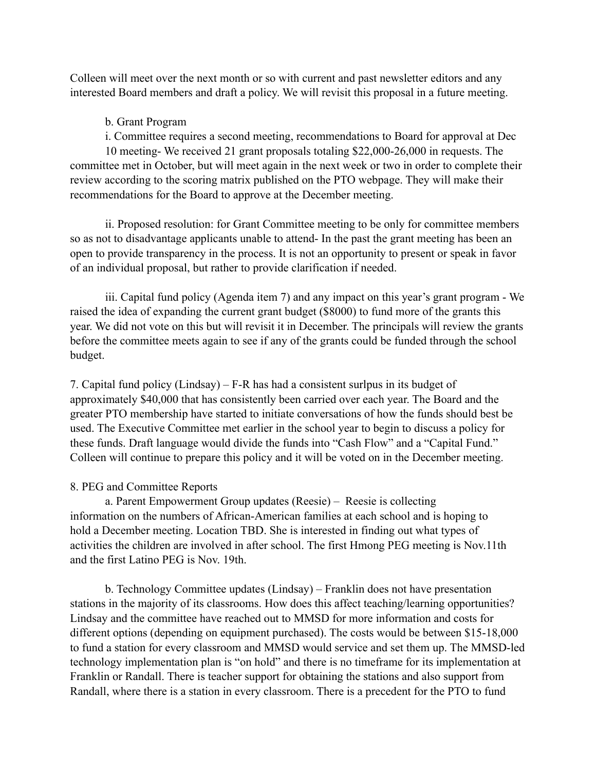Colleen will meet over the next month or so with current and past newsletter editors and any interested Board members and draft a policy. We will revisit this proposal in a future meeting.

## b. Grant Program

i. Committee requires a second meeting, recommendations to Board for approval at Dec

 10 meeting- We received 21 grant proposals totaling \$22,000-26,000 in requests. The committee met in October, but will meet again in the next week or two in order to complete their review according to the scoring matrix published on the PTO webpage. They will make their recommendations for the Board to approve at the December meeting.

 ii. Proposed resolution: for Grant Committee meeting to be only for committee members so as not to disadvantage applicants unable to attend- In the past the grant meeting has been an open to provide transparency in the process. It is not an opportunity to present or speak in favor of an individual proposal, but rather to provide clarification if needed.

 iii. Capital fund policy (Agenda item 7) and any impact on this year's grant program - We raised the idea of expanding the current grant budget (\$8000) to fund more of the grants this year. We did not vote on this but will revisit it in December. The principals will review the grants before the committee meets again to see if any of the grants could be funded through the school budget.

7. Capital fund policy (Lindsay) – F-R has had a consistent surlpus in its budget of approximately \$40,000 that has consistently been carried over each year. The Board and the greater PTO membership have started to initiate conversations of how the funds should best be used. The Executive Committee met earlier in the school year to begin to discuss a policy for these funds. Draft language would divide the funds into "Cash Flow" and a "Capital Fund." Colleen will continue to prepare this policy and it will be voted on in the December meeting.

## 8. PEG and Committee Reports

 a. Parent Empowerment Group updates (Reesie) – Reesie is collecting information on the numbers of African-American families at each school and is hoping to hold a December meeting. Location TBD. She is interested in finding out what types of activities the children are involved in after school. The first Hmong PEG meeting is Nov.11th and the first Latino PEG is Nov. 19th.

 b. Technology Committee updates (Lindsay) – Franklin does not have presentation stations in the majority of its classrooms. How does this affect teaching/learning opportunities? Lindsay and the committee have reached out to MMSD for more information and costs for different options (depending on equipment purchased). The costs would be between \$15-18,000 to fund a station for every classroom and MMSD would service and set them up. The MMSD-led technology implementation plan is "on hold" and there is no timeframe for its implementation at Franklin or Randall. There is teacher support for obtaining the stations and also support from Randall, where there is a station in every classroom. There is a precedent for the PTO to fund